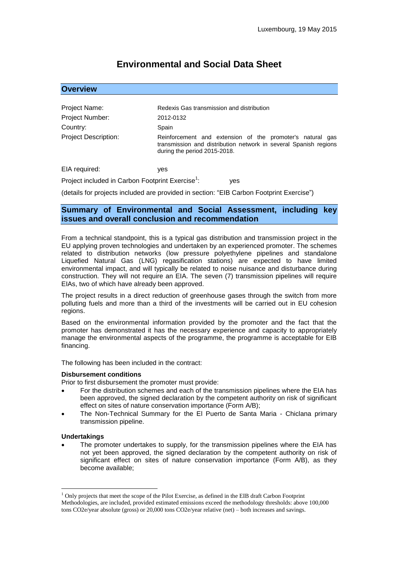# **Environmental and Social Data Sheet**

## **Overview**

| Project Name:               | Redexis Gas transmission and distribution                                                                                                                     |  |  |  |
|-----------------------------|---------------------------------------------------------------------------------------------------------------------------------------------------------------|--|--|--|
| Project Number:             | 2012-0132                                                                                                                                                     |  |  |  |
| Country:                    | Spain                                                                                                                                                         |  |  |  |
| <b>Project Description:</b> | Reinforcement and extension of the promoter's natural gas<br>transmission and distribution network in several Spanish regions<br>during the period 2015-2018. |  |  |  |

EIA required: yes

Project included in Carbon Footprint Exercise<sup>1</sup>: ves

(details for projects included are provided in section: "EIB Carbon Footprint Exercise")

# **Summary of Environmental and Social Assessment, including key issues and overall conclusion and recommendation**

From a technical standpoint, this is a typical gas distribution and transmission project in the EU applying proven technologies and undertaken by an experienced promoter. The schemes related to distribution networks (low pressure polyethylene pipelines and standalone Liquefied Natural Gas (LNG) regasification stations) are expected to have limited environmental impact, and will typically be related to noise nuisance and disturbance during construction. They will not require an EIA. The seven (7) transmission pipelines will require EIAs, two of which have already been approved.

The project results in a direct reduction of greenhouse gases through the switch from more polluting fuels and more than a third of the investments will be carried out in EU cohesion regions.

Based on the environmental information provided by the promoter and the fact that the promoter has demonstrated it has the necessary experience and capacity to appropriately manage the environmental aspects of the programme, the programme is acceptable for EIB financing.

The following has been included in the contract:

### **Disbursement conditions**

Prior to first disbursement the promoter must provide:

- For the distribution schemes and each of the transmission pipelines where the EIA has been approved, the signed declaration by the competent authority on risk of significant effect on sites of nature conservation importance (Form A/B);
- The Non-Technical Summary for the El Puerto de Santa Maria Chiclana primary transmission pipeline.

### **Undertakings**

 $\overline{a}$ 

 The promoter undertakes to supply, for the transmission pipelines where the EIA has not yet been approved, the signed declaration by the competent authority on risk of significant effect on sites of nature conservation importance (Form A/B), as they become available;

<sup>&</sup>lt;sup>1</sup> Only projects that meet the scope of the Pilot Exercise, as defined in the EIB draft Carbon Footprint Methodologies, are included, provided estimated emissions exceed the methodology thresholds: above 100,000 tons CO2e/year absolute (gross) or 20,000 tons CO2e/year relative (net) – both increases and savings.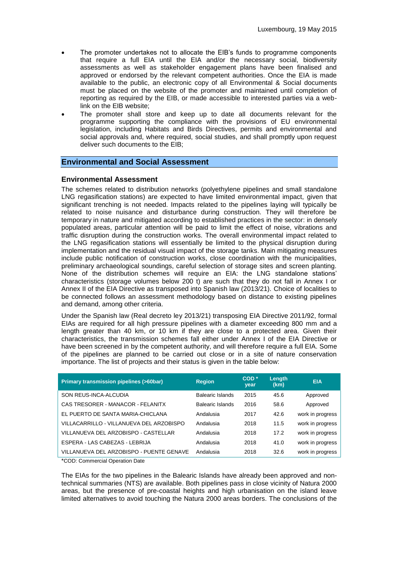- The promoter undertakes not to allocate the EIB's funds to programme components that require a full EIA until the EIA and/or the necessary social, biodiversity assessments as well as stakeholder engagement plans have been finalised and approved or endorsed by the relevant competent authorities. Once the EIA is made available to the public, an electronic copy of all Environmental & Social documents must be placed on the website of the promoter and maintained until completion of reporting as required by the EIB, or made accessible to interested parties via a weblink on the EIB website;
- The promoter shall store and keep up to date all documents relevant for the programme supporting the compliance with the provisions of EU environmental legislation, including Habitats and Birds Directives, permits and environmental and social approvals and, where required, social studies, and shall promptly upon request deliver such documents to the EIB;

# **Environmental and Social Assessment**

## **Environmental Assessment**

The schemes related to distribution networks (polyethylene pipelines and small standalone LNG regasification stations) are expected to have limited environmental impact, given that significant trenching is not needed. Impacts related to the pipelines laying will typically be related to noise nuisance and disturbance during construction. They will therefore be temporary in nature and mitigated according to established practices in the sector: in densely populated areas, particular attention will be paid to limit the effect of noise, vibrations and traffic disruption during the construction works. The overall environmental impact related to the LNG regasification stations will essentially be limited to the physical disruption during implementation and the residual visual impact of the storage tanks. Main mitigating measures include public notification of construction works, close coordination with the municipalities, preliminary archaeological soundings, careful selection of storage sites and screen planting. None of the distribution schemes will require an EIA: the LNG standalone stations' characteristics (storage volumes below 200 t) are such that they do not fall in Annex I or Annex II of the EIA Directive as transposed into Spanish law (2013/21). Choice of localities to be connected follows an assessment methodology based on distance to existing pipelines and demand, among other criteria.

Under the Spanish law (Real decreto ley 2013/21) transposing EIA Directive 2011/92, formal EIAs are required for all high pressure pipelines with a diameter exceeding 800 mm and a length greater than 40 km, or 10 km if they are close to a protected area. Given their characteristics, the transmission schemes fall either under Annex I of the EIA Directive or have been screened in by the competent authority, and will therefore require a full EIA. Some of the pipelines are planned to be carried out close or in a site of nature conservation importance. The list of projects and their status is given in the table below:

| <b>Primary transmission pipelines (&gt;60bar)</b> | <b>Region</b>    | $COD *$<br>year | Length<br>(km) | <b>EIA</b>       |
|---------------------------------------------------|------------------|-----------------|----------------|------------------|
| SON REUS-INCA-ALCUDIA                             | Balearic Islands | 2015            | 45.6           | Approved         |
| CAS TRESORER - MANACOR - FELANITX                 | Balearic Islands | 2016            | 58.6           | Approved         |
| EL PUERTO DE SANTA MARIA-CHICLANA                 | Andalusia        | 2017            | 42.6           | work in progress |
| VILLACARRILLO - VILLANUEVA DEL ARZOBISPO          | Andalusia        | 2018            | 11.5           | work in progress |
| VILLANUEVA DEL ARZOBISPO - CASTELLAR              | Andalusia        | 2018            | 17.2           | work in progress |
| ESPERA - LAS CABEZAS - LEBRIJA                    | Andalusia        | 2018            | 41.0           | work in progress |
| VILLANUEVA DEL ARZOBISPO - PUENTE GENAVE          | Andalusia        | 2018            | 32.6           | work in progress |

\*COD: Commercial Operation Date

The EIAs for the two pipelines in the Balearic Islands have already been approved and nontechnical summaries (NTS) are available. Both pipelines pass in close vicinity of Natura 2000 areas, but the presence of pre-coastal heights and high urbanisation on the island leave limited alternatives to avoid touching the Natura 2000 areas borders. The conclusions of the